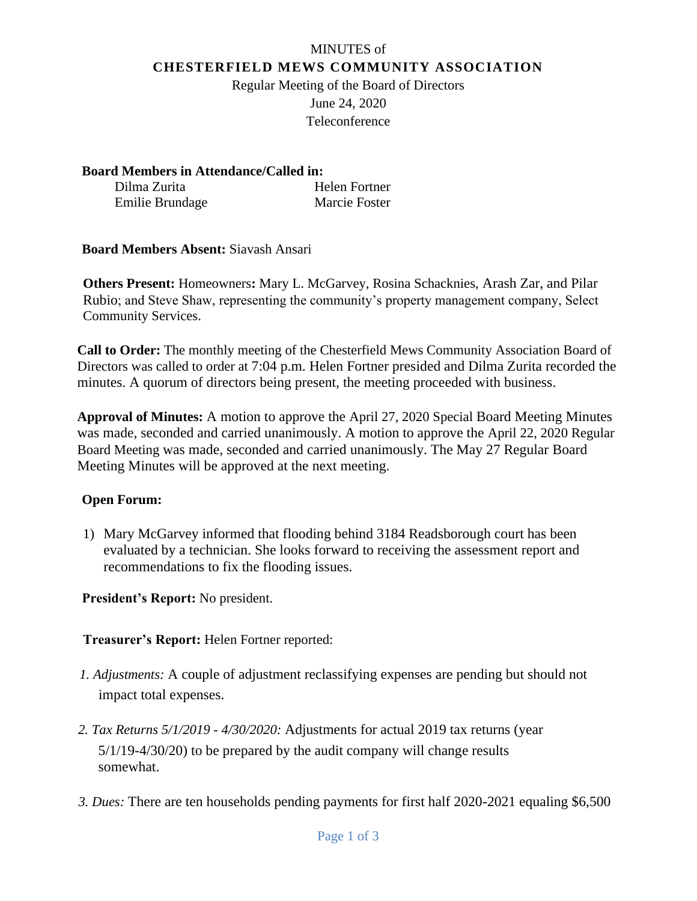# MINUTES of **CHESTERFIELD MEWS COMMUNITY ASSOCIATION**

Regular Meeting of the Board of Directors June 24, 2020 Teleconference

**Board Members in Attendance/Called in:** Dilma Zurita Helen Fortner Emilie Brundage Marcie Foster

**Board Members Absent:** Siavash Ansari

**Others Present:** Homeowners**:** Mary L. McGarvey, Rosina Schacknies, Arash Zar, and Pilar Rubio; and Steve Shaw, representing the community's property management company, Select Community Services.

**Call to Order:** The monthly meeting of the Chesterfield Mews Community Association Board of Directors was called to order at 7:04 p.m. Helen Fortner presided and Dilma Zurita recorded the minutes. A quorum of directors being present, the meeting proceeded with business.

**Approval of Minutes:** A motion to approve the April 27, 2020 Special Board Meeting Minutes was made, seconded and carried unanimously. A motion to approve the April 22, 2020 Regular Board Meeting was made, seconded and carried unanimously. The May 27 Regular Board Meeting Minutes will be approved at the next meeting.

### **Open Forum:**

1) Mary McGarvey informed that flooding behind 3184 Readsborough court has been evaluated by a technician. She looks forward to receiving the assessment report and recommendations to fix the flooding issues.

**President's Report:** No president.

## **Treasurer's Report:** Helen Fortner reported:

- *1. Adjustments:* A couple of adjustment reclassifying expenses are pending but should not impact total expenses.
- *2. Tax Returns 5/1/2019 - 4/30/2020:* Adjustments for actual 2019 tax returns (year 5/1/19-4/30/20) to be prepared by the audit company will change results somewhat.
- *3. Dues:* There are ten households pending payments for first half 2020-2021 equaling \$6,500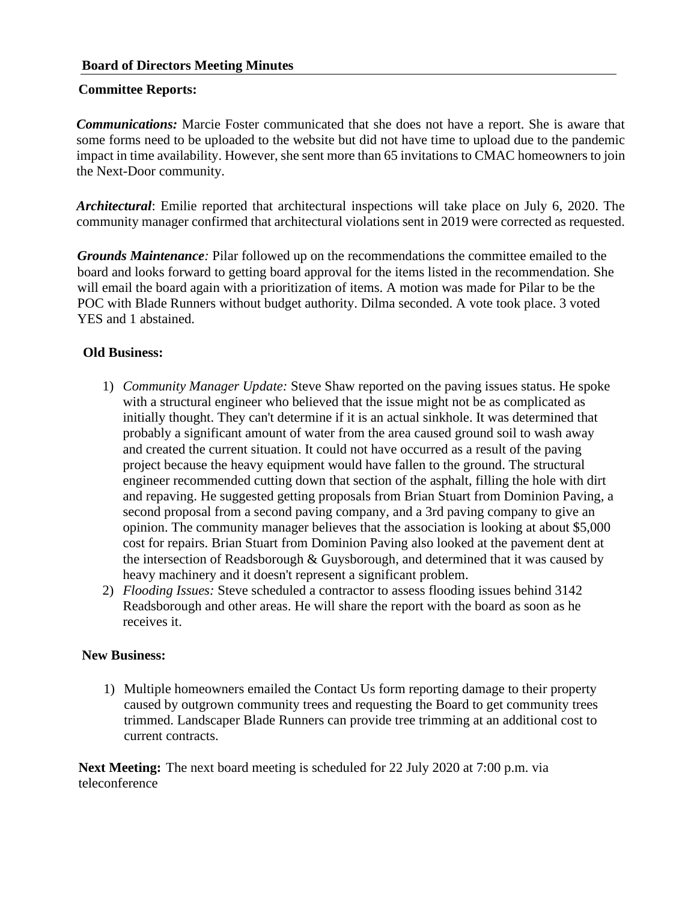### **Board of Directors Meeting Minutes**

#### **Committee Reports:**

*Communications:* Marcie Foster communicated that she does not have a report. She is aware that some forms need to be uploaded to the website but did not have time to upload due to the pandemic impact in time availability. However, she sent more than 65 invitations to CMAC homeowners to join the Next-Door community.

*Architectural*: Emilie reported that architectural inspections will take place on July 6, 2020. The community manager confirmed that architectural violations sent in 2019 were corrected as requested.

*Grounds Maintenance:* Pilar followed up on the recommendations the committee emailed to the board and looks forward to getting board approval for the items listed in the recommendation. She will email the board again with a prioritization of items. A motion was made for Pilar to be the POC with Blade Runners without budget authority. Dilma seconded. A vote took place. 3 voted YES and 1 abstained.

### **Old Business:**

- 1) *Community Manager Update:* Steve Shaw reported on the paving issues status. He spoke with a structural engineer who believed that the issue might not be as complicated as initially thought. They can't determine if it is an actual sinkhole. It was determined that probably a significant amount of water from the area caused ground soil to wash away and created the current situation. It could not have occurred as a result of the paving project because the heavy equipment would have fallen to the ground. The structural engineer recommended cutting down that section of the asphalt, filling the hole with dirt and repaving. He suggested getting proposals from Brian Stuart from Dominion Paving, a second proposal from a second paving company, and a 3rd paving company to give an opinion. The community manager believes that the association is looking at about \$5,000 cost for repairs. Brian Stuart from Dominion Paving also looked at the pavement dent at the intersection of Readsborough & Guysborough, and determined that it was caused by heavy machinery and it doesn't represent a significant problem.
- 2) *Flooding Issues:* Steve scheduled a contractor to assess flooding issues behind 3142 Readsborough and other areas. He will share the report with the board as soon as he receives it.

#### **New Business:**

1) Multiple homeowners emailed the Contact Us form reporting damage to their property caused by outgrown community trees and requesting the Board to get community trees trimmed. Landscaper Blade Runners can provide tree trimming at an additional cost to current contracts.

**Next Meeting:** The next board meeting is scheduled for 22 July 2020 at 7:00 p.m. via teleconference